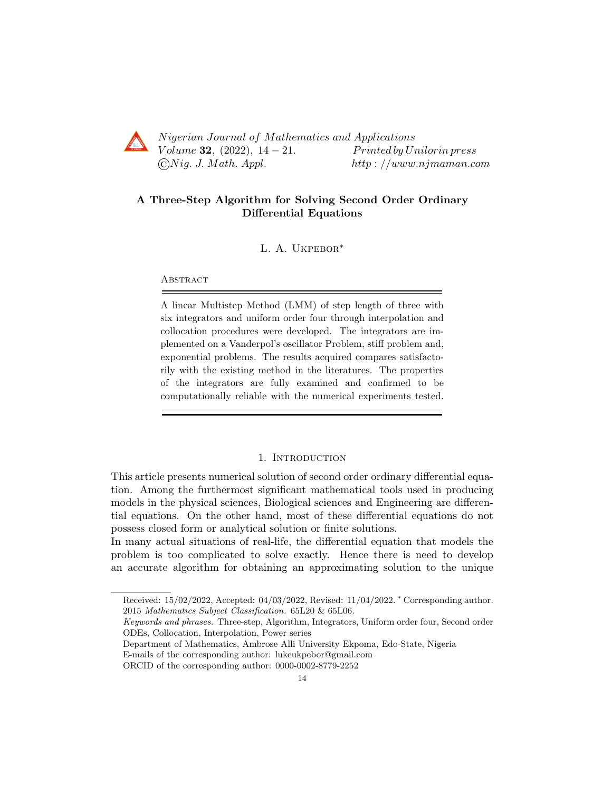

Nigerian Journal of Mathematics and Applications Volume 32,  $(2022)$ ,  $14-21$ . Printed by Unilorin press  $\bigcirc Nig. J. Math. Appl.$  http://www.njmaman.com

# A Three-Step Algorithm for Solving Second Order Ordinary Differential Equations

L. A. Ukpebor∗

**ABSTRACT** 

A linear Multistep Method (LMM) of step length of three with six integrators and uniform order four through interpolation and collocation procedures were developed. The integrators are implemented on a Vanderpol's oscillator Problem, stiff problem and, exponential problems. The results acquired compares satisfactorily with the existing method in the literatures. The properties of the integrators are fully examined and confirmed to be computationally reliable with the numerical experiments tested.

# 1. INTRODUCTION

This article presents numerical solution of second order ordinary differential equation. Among the furthermost significant mathematical tools used in producing models in the physical sciences, Biological sciences and Engineering are differential equations. On the other hand, most of these differential equations do not possess closed form or analytical solution or finite solutions.

In many actual situations of real-life, the differential equation that models the problem is too complicated to solve exactly. Hence there is need to develop an accurate algorithm for obtaining an approximating solution to the unique

Received: 15/02/2022, Accepted: 04/03/2022, Revised: 11/04/2022. <sup>∗</sup> Corresponding author. 2015 Mathematics Subject Classification. 65L20 & 65L06.

Keywords and phrases. Three-step, Algorithm, Integrators, Uniform order four, Second order ODEs, Collocation, Interpolation, Power series

Department of Mathematics, Ambrose Alli University Ekpoma, Edo-State, Nigeria E-mails of the corresponding author: lukeukpebor@gmail.com

ORCID of the corresponding author: 0000-0002-8779-2252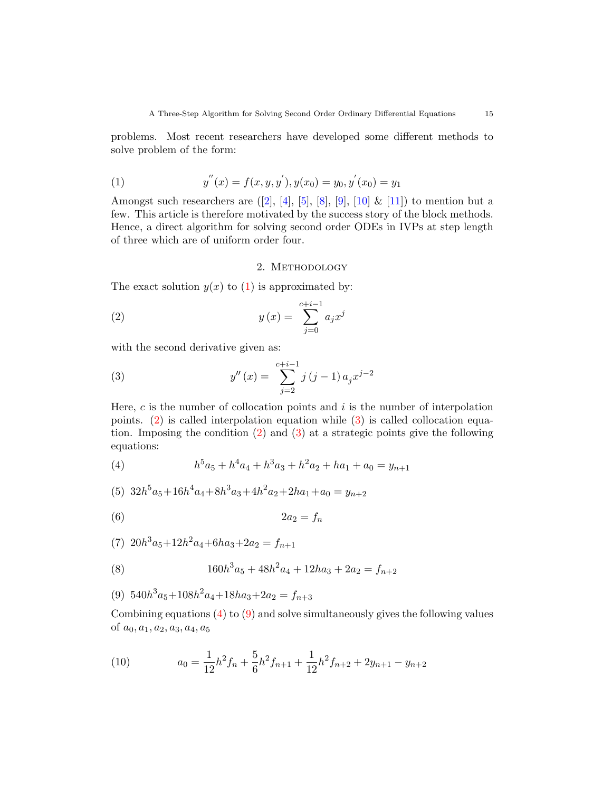problems. Most recent researchers have developed some different methods to solve problem of the form:

<span id="page-1-0"></span>(1) 
$$
y''(x) = f(x, y, y'), y(x_0) = y_0, y'(x_0) = y_1
$$

Amongst such researchers are  $([2], [4], [5], [8], [9], [10] \& [11])$  $([2], [4], [5], [8], [9], [10] \& [11])$  $([2], [4], [5], [8], [9], [10] \& [11])$  $([2], [4], [5], [8], [9], [10] \& [11])$  $([2], [4], [5], [8], [9], [10] \& [11])$  $([2], [4], [5], [8], [9], [10] \& [11])$  $([2], [4], [5], [8], [9], [10] \& [11])$  $([2], [4], [5], [8], [9], [10] \& [11])$  $([2], [4], [5], [8], [9], [10] \& [11])$  $([2], [4], [5], [8], [9], [10] \& [11])$  $([2], [4], [5], [8], [9], [10] \& [11])$  $([2], [4], [5], [8], [9], [10] \& [11])$  $([2], [4], [5], [8], [9], [10] \& [11])$  $([2], [4], [5], [8], [9], [10] \& [11])$  $([2], [4], [5], [8], [9], [10] \& [11])$  to mention but a few. This article is therefore motivated by the success story of the block methods. Hence, a direct algorithm for solving second order ODEs in IVPs at step length of three which are of uniform order four.

# <span id="page-1-2"></span><span id="page-1-1"></span>2. METHODOLOGY

The exact solution  $y(x)$  to [\(1\)](#page-1-0) is approximated by:

(2) 
$$
y(x) = \sum_{j=0}^{c+i-1} a_j x^j
$$

with the second derivative given as:

(3) 
$$
y''(x) = \sum_{j=2}^{c+i-1} j(j-1) a_j x^{j-2}
$$

Here,  $c$  is the number of collocation points and  $i$  is the number of interpolation points. [\(2\)](#page-1-1) is called interpolation equation while [\(3\)](#page-1-2) is called collocation equation. Imposing the condition  $(2)$  and  $(3)$  at a strategic points give the following equations:

<span id="page-1-3"></span>(4) 
$$
h^5 a_5 + h^4 a_4 + h^3 a_3 + h^2 a_2 + h a_1 + a_0 = y_{n+1}
$$

(5) 
$$
32h^5a_5 + 16h^4a_4 + 8h^3a_3 + 4h^2a_2 + 2ha_1 + a_0 = y_{n+2}
$$

$$
(6) \t\t 2a_2 = f_n
$$

(7)  $20h^3a_5+12h^2a_4+6ha_3+2a_2 = f_{n+1}$ 

(8) 
$$
160h^3a_5 + 48h^2a_4 + 12ha_3 + 2a_2 = f_{n+2}
$$

<span id="page-1-4"></span>(9)  $540h^3a_5+108h^2a_4+18ha_3+2a_2 = f_{n+3}$ 

Combining equations [\(4\)](#page-1-3) to [\(9\)](#page-1-4) and solve simultaneously gives the following values of  $a_0, a_1, a_2, a_3, a_4, a_5$ 

<span id="page-1-5"></span>(10) 
$$
a_0 = \frac{1}{12}h^2 f_n + \frac{5}{6}h^2 f_{n+1} + \frac{1}{12}h^2 f_{n+2} + 2y_{n+1} - y_{n+2}
$$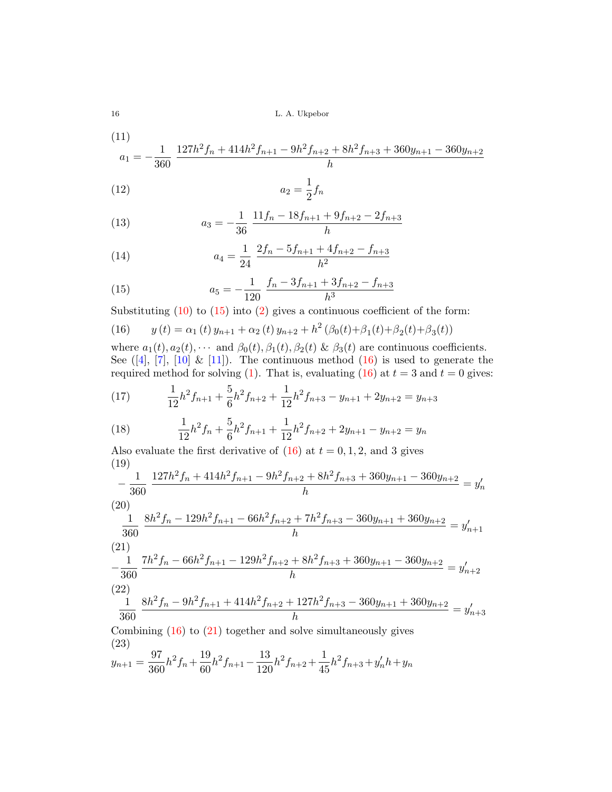16 L. A. Ukpebor

(11)  

$$
a_1 = -\frac{1}{360} \frac{127h^2f_n + 414h^2f_{n+1} - 9h^2f_{n+2} + 8h^2f_{n+3} + 360y_{n+1} - 360y_{n+2}}{h}
$$

$$
(12)\qquad \qquad a_2 = \frac{1}{2}f_n
$$

(13) 
$$
a_3 = -\frac{1}{36} \frac{11f_n - 18f_{n+1} + 9f_{n+2} - 2f_{n+3}}{h}
$$

(14) 
$$
a_4 = \frac{1}{24} \frac{2f_n - 5f_{n+1} + 4f_{n+2} - f_{n+3}}{h^2}
$$

<span id="page-2-0"></span>(15) 
$$
a_5 = -\frac{1}{120} \frac{f_n - 3f_{n+1} + 3f_{n+2} - f_{n+3}}{h^3}
$$

Substituting  $(10)$  to  $(15)$  into  $(2)$  gives a continuous coefficient of the form:

<span id="page-2-1"></span>(16) 
$$
y(t) = \alpha_1(t) y_{n+1} + \alpha_2(t) y_{n+2} + h^2(\beta_0(t) + \beta_1(t) + \beta_2(t) + \beta_3(t))
$$

where  $a_1(t)$ ,  $a_2(t)$ ,  $\cdots$  and  $\beta_0(t)$ ,  $\beta_1(t)$ ,  $\beta_2(t)$  &  $\beta_3(t)$  are continuous coefficients. See  $([4], [7], [10] \& [11])$  $([4], [7], [10] \& [11])$  $([4], [7], [10] \& [11])$  $([4], [7], [10] \& [11])$  $([4], [7], [10] \& [11])$  $([4], [7], [10] \& [11])$  $([4], [7], [10] \& [11])$  $([4], [7], [10] \& [11])$  $([4], [7], [10] \& [11])$ . The continuous method  $(16)$  is used to generate the required method for solving [\(1\)](#page-1-0). That is, evaluating [\(16\)](#page-2-1) at  $t = 3$  and  $t = 0$  gives:

(17) 
$$
\frac{1}{12}h^2f_{n+1} + \frac{5}{6}h^2f_{n+2} + \frac{1}{12}h^2f_{n+3} - y_{n+1} + 2y_{n+2} = y_{n+3}
$$

(18) 
$$
\frac{1}{12}h^2f_n + \frac{5}{6}h^2f_{n+1} + \frac{1}{12}h^2f_{n+2} + 2y_{n+1} - y_{n+2} = y_n
$$

Also evaluate the first derivative of  $(16)$  at  $t = 0, 1, 2$ , and 3 gives (19)

$$
-\frac{1}{360} \frac{127h^2f_n + 414h^2f_{n+1} - 9h^2f_{n+2} + 8h^2f_{n+3} + 360y_{n+1} - 360y_{n+2}}{h} = y'_n
$$
\n(20)

$$
\frac{1}{360} \frac{8h^2f_n - 129h^2f_{n+1} - 66h^2f_{n+2} + 7h^2f_{n+3} - 360y_{n+1} + 360y_{n+2}}{h} = y'_{n+1}
$$
\n(21)

<span id="page-2-2"></span>
$$
-\frac{1}{360} \frac{7h^2f_n - 66h^2f_{n+1} - 129h^2f_{n+2} + 8h^2f_{n+3} + 360y_{n+1} - 360y_{n+2}}{h} = y'_{n+2}
$$
\n(22)

$$
\frac{1}{360} \frac{8h^2f_n - 9h^2f_{n+1} + 414h^2f_{n+2} + 127h^2f_{n+3} - 360y_{n+1} + 360y_{n+2}}{h} = y'_{n+3}
$$

Combining  $(16)$  to  $(21)$  together and solve simultaneously gives (23)  $\overline{27}$  $10$ 19 1

<span id="page-2-3"></span>
$$
y_{n+1} = \frac{97}{360}h^2 f_n + \frac{19}{60}h^2 f_{n+1} - \frac{13}{120}h^2 f_{n+2} + \frac{1}{45}h^2 f_{n+3} + y'_n h + y_n
$$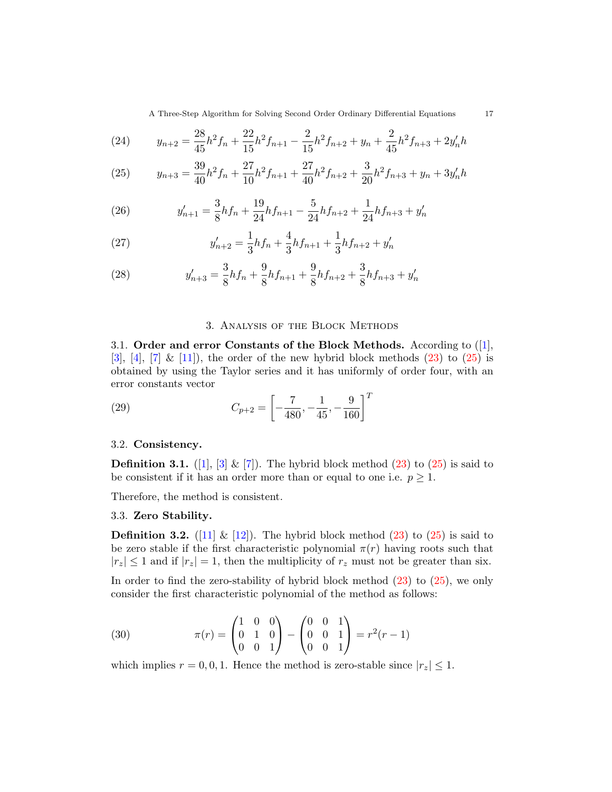A Three-Step Algorithm for Solving Second Order Ordinary Differential Equations 17

(24) 
$$
y_{n+2} = \frac{28}{45}h^2 f_n + \frac{22}{15}h^2 f_{n+1} - \frac{2}{15}h^2 f_{n+2} + y_n + \frac{2}{45}h^2 f_{n+3} + 2y'_n h
$$

<span id="page-3-0"></span>(25) 
$$
y_{n+3} = \frac{39}{40}h^2 f_n + \frac{27}{10}h^2 f_{n+1} + \frac{27}{40}h^2 f_{n+2} + \frac{3}{20}h^2 f_{n+3} + y_n + 3y'_n h
$$

<span id="page-3-1"></span>(26) 
$$
y'_{n+1} = \frac{3}{8}hf_n + \frac{19}{24}hf_{n+1} - \frac{5}{24}hf_{n+2} + \frac{1}{24}hf_{n+3} + y'_n
$$

(27) 
$$
y'_{n+2} = \frac{1}{3}hf_n + \frac{4}{3}hf_{n+1} + \frac{1}{3}hf_{n+2} + y'_n
$$

(28) 
$$
y'_{n+3} = \frac{3}{8}hf_n + \frac{9}{8}hf_{n+1} + \frac{9}{8}hf_{n+2} + \frac{3}{8}hf_{n+3} + y'_n
$$

#### <span id="page-3-2"></span>3. Analysis of the Block Methods

3.1. Order and error Constants of the Block Methods. According to ([\[1\]](#page-7-8), [\[3\]](#page-7-9), [\[4\]](#page-7-1), [\[7\]](#page-7-7) & [\[11\]](#page-7-6)), the order of the new hybrid block methods [\(23\)](#page-2-3) to [\(25\)](#page-3-0) is obtained by using the Taylor series and it has uniformly of order four, with an error constants vector

(29) 
$$
C_{p+2} = \left[ -\frac{7}{480}, -\frac{1}{45}, -\frac{9}{160} \right]^T
$$

### 3.2. Consistency.

**Definition 3.1.** ([\[1\]](#page-7-8), [\[3\]](#page-7-9) & [\[7\]](#page-7-7)). The hybrid block method [\(23\)](#page-2-3) to [\(25\)](#page-3-0) is said to be consistent if it has an order more than or equal to one i.e.  $p \geq 1$ .

Therefore, the method is consistent.

# 3.3. Zero Stability.

**Definition 3.2.** ([\[11\]](#page-7-6)  $\&$  [\[12\]](#page-7-10)). The hybrid block method [\(23\)](#page-2-3) to [\(25\)](#page-3-0) is said to be zero stable if the first characteristic polynomial  $\pi(r)$  having roots such that  $|r_z| \leq 1$  and if  $|r_z| = 1$ , then the multiplicity of  $r_z$  must not be greater than six.

In order to find the zero-stability of hybrid block method [\(23\)](#page-2-3) to [\(25\)](#page-3-0), we only consider the first characteristic polynomial of the method as follows:

(30) 
$$
\pi(r) = \begin{pmatrix} 1 & 0 & 0 \\ 0 & 1 & 0 \\ 0 & 0 & 1 \end{pmatrix} - \begin{pmatrix} 0 & 0 & 1 \\ 0 & 0 & 1 \\ 0 & 0 & 1 \end{pmatrix} = r^2(r-1)
$$

which implies  $r = 0, 0, 1$ . Hence the method is zero-stable since  $|r_z| \leq 1$ .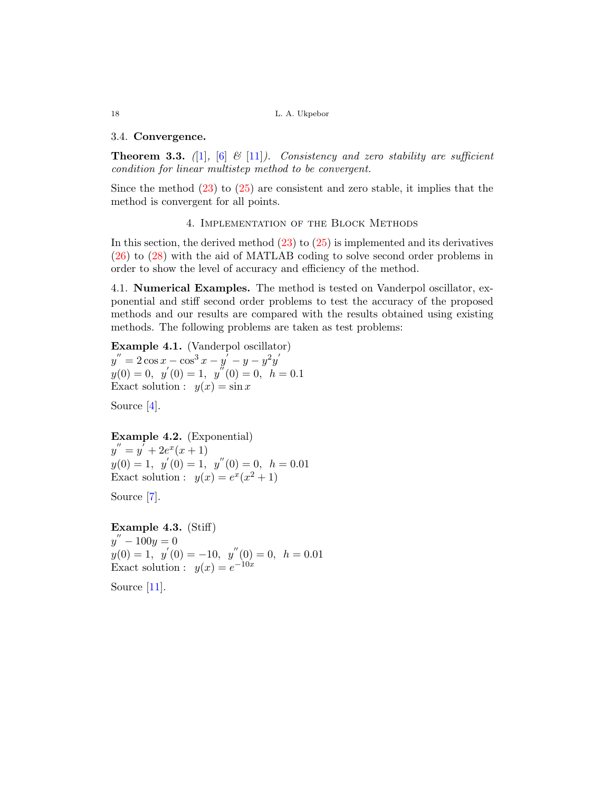18 L. A. Ukpebor

#### 3.4. Convergence.

**Theorem 3.3.** ([\[1\]](#page-7-8), [\[6\]](#page-7-11)  $\&$  [\[11\]](#page-7-6)). Consistency and zero stability are sufficient condition for linear multistep method to be convergent.

Since the method  $(23)$  to  $(25)$  are consistent and zero stable, it implies that the method is convergent for all points.

#### 4. Implementation of the Block Methods

In this section, the derived method [\(23\)](#page-2-3) to [\(25\)](#page-3-0) is implemented and its derivatives [\(26\)](#page-3-1) to [\(28\)](#page-3-2) with the aid of MATLAB coding to solve second order problems in order to show the level of accuracy and efficiency of the method.

4.1. Numerical Examples. The method is tested on Vanderpol oscillator, exponential and stiff second order problems to test the accuracy of the proposed methods and our results are compared with the results obtained using existing methods. The following problems are taken as test problems:

Example 4.1. (Vanderpol oscillator)  $y'' = 2\cos x - \cos^3 x - y' - y - y^2y'$  $y(0) = 0, y'(0) = 1, y''(0) = 0, h = 0.1$ Exact solution :  $y(x) = \sin x$ 

Source [\[4\]](#page-7-1).

Example 4.2. (Exponential)  $y'' = y' + 2e^x(x+1)$  $y(0) = 1, y'(0) = 1, y''(0) = 0, h = 0.01$ Exact solution :  $y(x) = e^x(x^2 + 1)$ 

Source [\[7\]](#page-7-7).

Example 4.3. (Stiff)  $y'' - 100y = 0$  $y(0) = 1, y'(0) = -10, y''(0) = 0, h = 0.01$ Exact solution :  $y(x) = e^{-10x}$ 

Source [\[11\]](#page-7-6).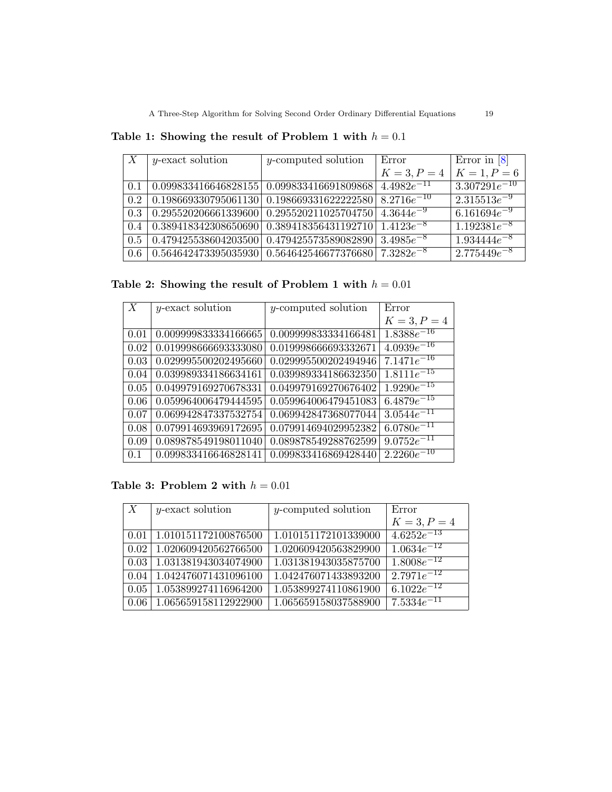| X   | y-exact solution                                                         | y-computed solution                                          | Error           | Error in $[8]$    |
|-----|--------------------------------------------------------------------------|--------------------------------------------------------------|-----------------|-------------------|
|     |                                                                          |                                                              | $K = 3, P = 4$  | $K = 1, P = 6$    |
| 0.1 |                                                                          | $0.099833416646828155   0.099833416691809868  $              | $4.4982e^{-11}$ | $3.307291e^{-10}$ |
| 0.2 | $\mid 0.198669330795061130 \mid 0.198669331622222580 \mid 8.2716e^{-10}$ |                                                              |                 | $2.315513e^{-9}$  |
| 0.3 |                                                                          | $0.295520206661339600   0.295520211025704750   4.3644e^{-9}$ |                 | $6.161694e^{-9}$  |
| 0.4 |                                                                          | $0.389418342308650690   0.389418356431192710   1.4123e^{-8}$ |                 | $1.192381e^{-8}$  |
| 0.5 | $\mid 0.479425538604203500 \mid 0.479425573589082890 \mid 3.4985e^{-8}$  |                                                              |                 | $1.934444e^{-8}$  |
| 0.6 |                                                                          | $0.564642473395035930   0.564642546677376680   7.3282e^{-8}$ |                 | $2.775449e^{-8}$  |

Table 1: Showing the result of Problem 1 with  $h = 0.1$ 

Table 2: Showing the result of Problem 1 with  $h = 0.01$ 

| X    | $y$ -exact solution  | $y$ -computed solution | Error                      |
|------|----------------------|------------------------|----------------------------|
|      |                      |                        | $K = 3, P = 4$             |
| 0.01 | 0.009999833334166665 | 0.009999833334166481   | $\overline{1.8388e^{-16}}$ |
| 0.02 | 0.019998666693333080 | 0.019998666693332671   | $\sqrt{4.0939e^{-16}}$     |
| 0.03 | 0.029995500202495660 | 0.029995500202494946   | $7.1471e^{-16}$            |
| 0.04 | 0.039989334186634161 | 0.039989334186632350   | $\overline{1.8111e^{-15}}$ |
| 0.05 | 0.049979169270678331 | 0.049979169270676402   | $1.9290e^{-15}$            |
| 0.06 | 0.059964006479444595 | 0.059964006479451083   | $6.4879e^{-15}$            |
| 0.07 | 0.069942847337532754 | 0.069942847368077044   | $3.0544e^{-11}$            |
| 0.08 | 0.079914693969172695 | 0.079914694029952382   | $6.0780e^{-11}$            |
| 0.09 | 0.089878549198011040 | 0.089878549288762599   | $9.0752e^{-11}$            |
| 0.1  | 0.099833416646828141 | 0.099833416869428440   | $2.2260e^{-10}$            |

Table 3: Problem 2 with  $h = 0.01$ 

| X    | $y$ -exact solution  | $y$ -computed solution | Error                      |
|------|----------------------|------------------------|----------------------------|
|      |                      |                        | $K = 3, P = 4$             |
| 0.01 | 1.010151172100876500 | 1.010151172101339000   | $4.6252e^{-13}$            |
| 0.02 | 1.020609420562766500 | 1.020609420563829900   | $1.063\overline{4e^{-12}}$ |
| 0.03 | 1.031381943034074900 | 1.031381943035875700   | $1.8008e^{-12}$            |
| 0.04 | 1.042476071431096100 | 1.042476071433893200   | $2.7971e^{-12}$            |
| 0.05 | 1.053899274116964200 | 1.053899274110861900   | $6.1022e^{-12}$            |
| 0.06 | 1.065659158112922900 | 1.065659158037588900   | $7.5334e^{-11}$            |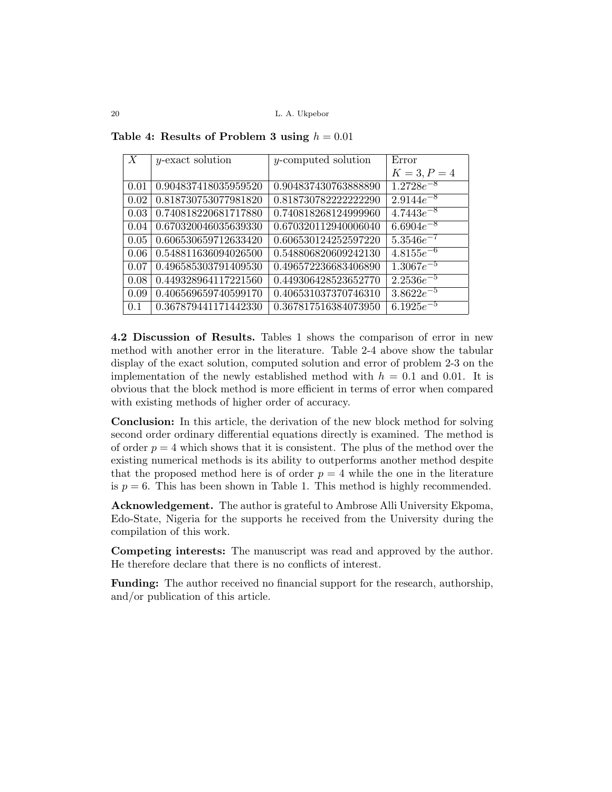| $\boldsymbol{X}$ | $y$ -exact solution  | $y$ -computed solution | Error          |
|------------------|----------------------|------------------------|----------------|
|                  |                      |                        | $K = 3, P = 4$ |
| 0.01             | 0.904837418035959520 | 0.904837430763888890   | $1.2728e^{-8}$ |
| 0.02             | 0.818730753077981820 | 0.8187307822222222290  | $2.9144e^{-8}$ |
| 0.03             | 0.740818220681717880 | 0.740818268124999960   | $4.7443e^{-8}$ |
| 0.04             | 0.670320046035639330 | 0.670320112940006040   | $6.6904e^{-8}$ |
| 0.05             | 0.606530659712633420 | 0.606530124252597220   | $5.3546e^{-7}$ |
| 0.06             | 0.548811636094026500 | 0.548806820609242130   | $4.8155e^{-6}$ |
| 0.07             | 0.496585303791409530 | 0.496572236683406890   | $1.3067e^{-5}$ |
| 0.08             | 0.449328964117221560 | 0.449306428523652770   | $2.2536e^{-5}$ |
| 0.09             | 0.406569659740599170 | 0.406531037370746310   | $3.8622e^{-5}$ |
| 0.1              | 0.367879441171442330 | 0.367817516384073950   | $6.1925e^{-5}$ |

Table 4: Results of Problem 3 using  $h = 0.01$ 

4.2 Discussion of Results. Tables 1 shows the comparison of error in new method with another error in the literature. Table 2-4 above show the tabular display of the exact solution, computed solution and error of problem 2-3 on the implementation of the newly established method with  $h = 0.1$  and 0.01. It is obvious that the block method is more efficient in terms of error when compared with existing methods of higher order of accuracy.

Conclusion: In this article, the derivation of the new block method for solving second order ordinary differential equations directly is examined. The method is of order  $p = 4$  which shows that it is consistent. The plus of the method over the existing numerical methods is its ability to outperforms another method despite that the proposed method here is of order  $p = 4$  while the one in the literature is  $p = 6$ . This has been shown in Table 1. This method is highly recommended.

Acknowledgement. The author is grateful to Ambrose Alli University Ekpoma, Edo-State, Nigeria for the supports he received from the University during the compilation of this work.

Competing interests: The manuscript was read and approved by the author. He therefore declare that there is no conflicts of interest.

Funding: The author received no financial support for the research, authorship, and/or publication of this article.